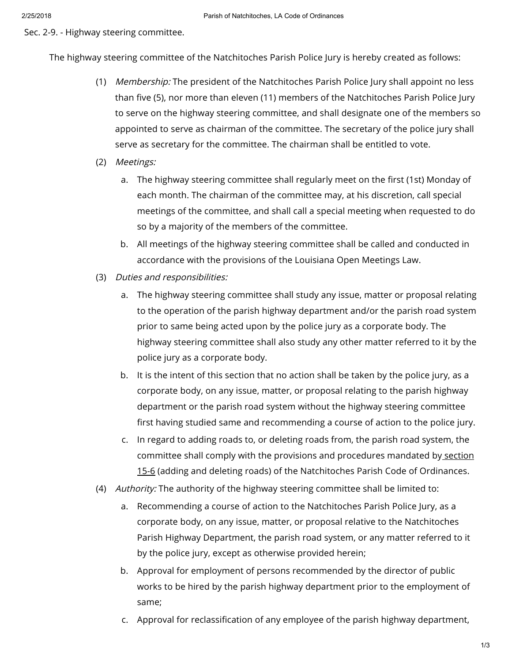Sec. 2-9. - Highway steering committee.

The highway steering committee of the Natchitoches Parish Police Jury is hereby created as follows:

- (1) *Membership:* The president of the Natchitoches Parish Police Jury shall appoint no less than five (5), nor more than eleven (11) members of the Natchitoches Parish Police Jury to serve on the highway steering committee, and shall designate one of the members so appointed to serve as chairman of the committee. The secretary of the police jury shall serve as secretary for the committee. The chairman shall be entitled to vote.
- (2) Meetings:
	- a. The highway steering committee shall regularly meet on the first (1st) Monday of each month. The chairman of the committee may, at his discretion, call special meetings of the committee, and shall call a special meeting when requested to do so by a majority of the members of the committee.
	- b. All meetings of the highway steering committee shall be called and conducted in accordance with the provisions of the Louisiana Open Meetings Law.
- (3) Duties and responsibilities:
	- a. The highway steering committee shall study any issue, matter or proposal relating to the operation of the parish highway department and/or the parish road system prior to same being acted upon by the police jury as a corporate body. The highway steering committee shall also study any other matter referred to it by the police jury as a corporate body.
	- b. It is the intent of this section that no action shall be taken by the police jury, as a corporate body, on any issue, matter, or proposal relating to the parish highway department or the parish road system without the highway steering committee first having studied same and recommending a course of action to the police jury.
	- c. In regard to adding roads to, or deleting roads from, the parish road system, the committee shall comply with the provisions and procedures mandated by section 15-6 (adding and deleting roads) of the [Natchitoches](https://library.municode.com/) Parish Code of Ordinances.
- (4) *Authority:* The authority of the highway steering committee shall be limited to:
	- a. Recommending a course of action to the Natchitoches Parish Police Jury, as a corporate body, on any issue, matter, or proposal relative to the Natchitoches Parish Highway Department, the parish road system, or any matter referred to it by the police jury, except as otherwise provided herein;
	- b. Approval for employment of persons recommended by the director of public works to be hired by the parish highway department prior to the employment of same;
	- c. Approval for reclassification of any employee of the parish highway department,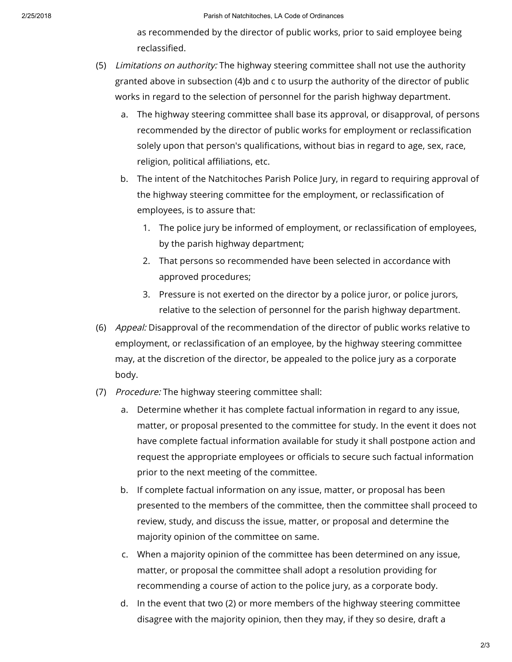as recommended by the director of public works, prior to said employee being reclassified.

- (5) *Limitations on authority:* The highway steering committee shall not use the authority granted above in subsection (4)b and c to usurp the authority of the director of public works in regard to the selection of personnel for the parish highway department.
	- a. The highway steering committee shall base its approval, or disapproval, of persons recommended by the director of public works for employment or reclassification solely upon that person's qualifications, without bias in regard to age, sex, race, religion, political affiliations, etc.
	- b. The intent of the Natchitoches Parish Police Jury, in regard to requiring approval of the highway steering committee for the employment, or reclassification of employees, is to assure that:
		- 1. The police jury be informed of employment, or reclassication of employees, by the parish highway department;
		- 2. That persons so recommended have been selected in accordance with approved procedures;
		- 3. Pressure is not exerted on the director by a police juror, or police jurors, relative to the selection of personnel for the parish highway department.
- (6) *Appeal:* Disapproval of the recommendation of the director of public works relative to employment, or reclassification of an employee, by the highway steering committee may, at the discretion of the director, be appealed to the police jury as a corporate body.
- (7) *Procedure:* The highway steering committee shall:
	- a. Determine whether it has complete factual information in regard to any issue, matter, or proposal presented to the committee for study. In the event it does not have complete factual information available for study it shall postpone action and request the appropriate employees or officials to secure such factual information prior to the next meeting of the committee.
	- b. If complete factual information on any issue, matter, or proposal has been presented to the members of the committee, then the committee shall proceed to review, study, and discuss the issue, matter, or proposal and determine the majority opinion of the committee on same.
	- c. When a majority opinion of the committee has been determined on any issue, matter, or proposal the committee shall adopt a resolution providing for recommending a course of action to the police jury, as a corporate body.
	- d. In the event that two (2) or more members of the highway steering committee disagree with the majority opinion, then they may, if they so desire, draft a